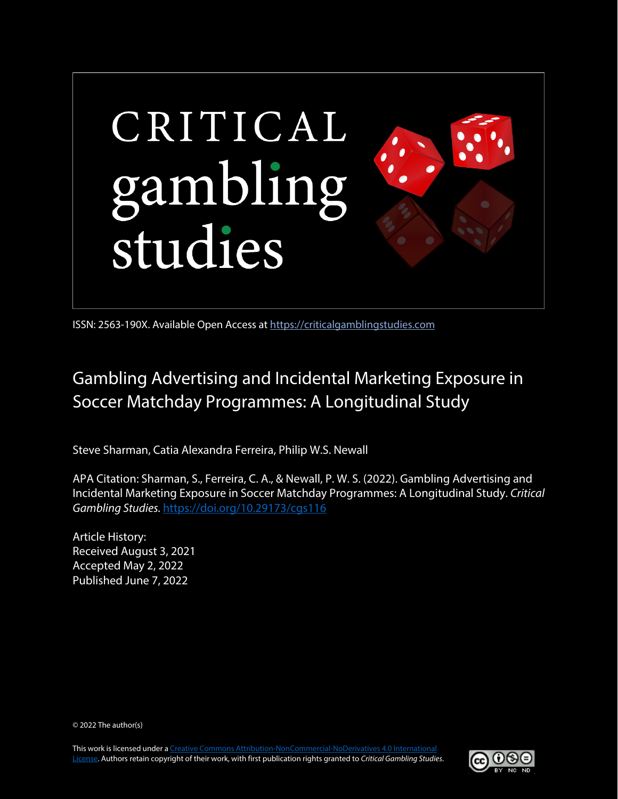

ISSN: 2563-190X. Available Open Access at [https://criticalgamblingstudies.com](https://criticalgamblingstudies.com/)

# Gambling Advertising and Incidental Marketing Exposure in Soccer Matchday Programmes: A Longitudinal Study

Steve Sharman, Catia Alexandra Ferreira, Philip W.S. Newall

APA Citation: Sharman, S., Ferreira, C. A., & Newall, P. W. S. (2022). Gambling Advertising and Incidental Marketing Exposure in Soccer Matchday Programmes: A Longitudinal Study. *Critical Gambling Studies.* <https://doi.org/10.29173/cgs116>

Article History: Received August 3, 2021 Accepted May 2, 2022 Published June 7, 2022

© 2022 The author(s)

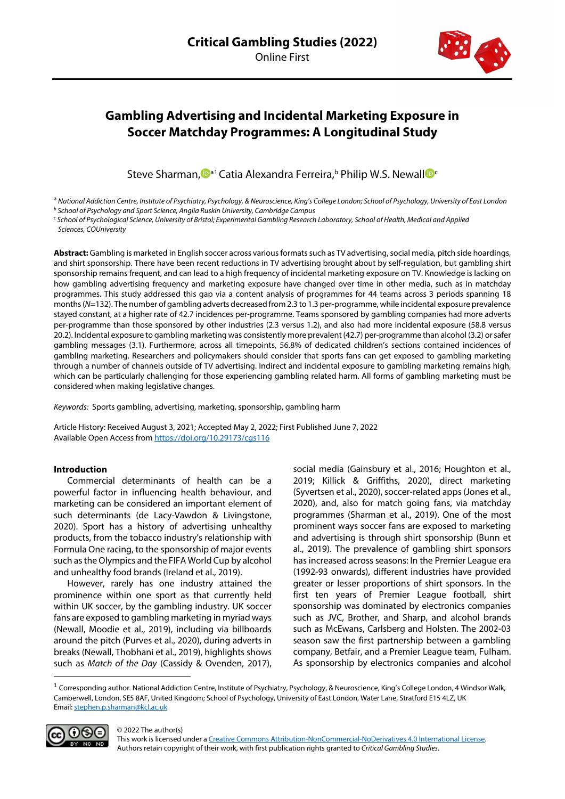

## **Gambling Advertising and Incidental Marketing Exposure in Soccer Matchday Programmes: A Longitudinal Study**

Steve Sharman[,](https://orcid.org/0000-0001-9816-7981) D<sup>a[1](#page-1-0)</sup> Catia Alexandra Ferreira,<sup>b</sup> Philip W.S. Newall D<sup>e</sup>

<sup>a</sup> National Addiction Centre, Institute of Psychiatry, Psychology, & Neuroscience, King's College London; School of Psychology, University of East London<br><sup>b</sup> School of Psychology and Sport Science, Anglia Ruskin Universit

*Sciences, CQUniversity*

**Abstract:** Gambling is marketed in English soccer across various formats such as TV advertising, social media, pitch side hoardings, and shirt sponsorship. There have been recent reductions in TV advertising brought about by self-regulation, but gambling shirt sponsorship remains frequent, and can lead to a high frequency of incidental marketing exposure on TV. Knowledge is lacking on how gambling advertising frequency and marketing exposure have changed over time in other media, such as in matchday programmes. This study addressed this gap via a content analysis of programmes for 44 teams across 3 periods spanning 18 months (*N*=132). The number of gambling adverts decreased from 2.3 to 1.3 per-programme, while incidental exposure prevalence stayed constant, at a higher rate of 42.7 incidences per-programme. Teams sponsored by gambling companies had more adverts per-programme than those sponsored by other industries (2.3 versus 1.2), and also had more incidental exposure (58.8 versus 20.2). Incidental exposure to gambling marketing was consistently more prevalent (42.7) per-programme than alcohol (3.2) or safer gambling messages (3.1). Furthermore, across all timepoints, 56.8% of dedicated children's sections contained incidences of gambling marketing. Researchers and policymakers should consider that sports fans can get exposed to gambling marketing through a number of channels outside of TV advertising. Indirect and incidental exposure to gambling marketing remains high, which can be particularly challenging for those experiencing gambling related harm. All forms of gambling marketing must be considered when making legislative changes.

*Keywords:* Sports gambling, advertising, marketing, sponsorship, gambling harm

Article History: Received August 3, 2021; Accepted May 2, 2022; First Published June 7, 2022 Available Open Access from<https://doi.org/10.29173/cgs116>

#### **Introduction**

Commercial determinants of health can be a powerful factor in influencing health behaviour, and marketing can be considered an important element of such determinants (de Lacy-Vawdon & Livingstone, 2020). Sport has a history of advertising unhealthy products, from the tobacco industry's relationship with Formula One racing, to the sponsorship of major events such as the Olympics and the FIFA World Cup by alcohol and unhealthy food brands (Ireland et al., 2019).

However, rarely has one industry attained the prominence within one sport as that currently held within UK soccer, by the gambling industry. UK soccer fans are exposed to gambling marketing in myriad ways (Newall, Moodie et al., 2019), including via billboards around the pitch (Purves et al., 2020), during adverts in breaks (Newall, Thobhani et al., 2019), highlights shows such as *Match of the Day* (Cassidy & Ovenden, 2017), social media (Gainsbury et al., 2016; Houghton et al., 2019; Killick & Griffiths, 2020), direct marketing (Syvertsen et al., 2020), soccer-related apps (Jones et al., 2020), and, also for match going fans, via matchday programmes (Sharman et al., 2019). One of the most prominent ways soccer fans are exposed to marketing and advertising is through shirt sponsorship (Bunn et al., 2019). The prevalence of gambling shirt sponsors has increased across seasons: In the Premier League era (1992-93 onwards), different industries have provided greater or lesser proportions of shirt sponsors. In the first ten years of Premier League football, shirt sponsorship was dominated by electronics companies such as JVC, Brother, and Sharp, and alcohol brands such as McEwans, Carlsberg and Holsten. The 2002-03 season saw the first partnership between a gambling company, Betfair, and a Premier League team, Fulham. As sponsorship by electronics companies and alcohol

<span id="page-1-0"></span><sup>&</sup>lt;sup>1</sup> Corresponding author. National Addiction Centre, Institute of Psychiatry, Psychology, & Neuroscience, King's College London, 4 Windsor Walk, Camberwell, London, SE5 8AF, United Kingdom; School of Psychology, University of East London, Water Lane, Stratford E15 4LZ, UK Email[: stephen.p.sharman@kcl.ac.uk](mailto:stephen.p.sharman@kcl.ac.uk)



© 2022 The author(s)

This work is licensed under [a Creative Commons Attribution-NonCommercial-NoDerivatives 4.0 International License.](https://creativecommons.org/licenses/by-nc-nd/4.0/)  Authors retain copyright of their work, with first publication rights granted to *Critical Gambling Studies*.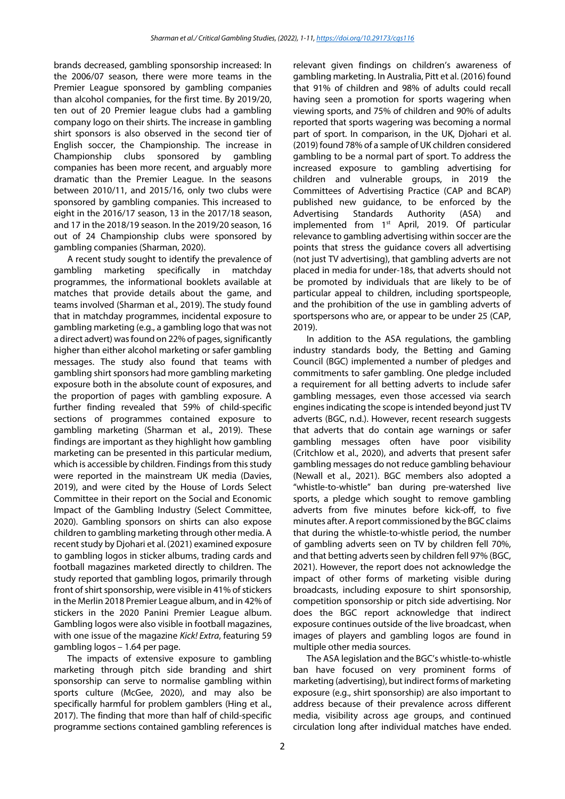brands decreased, gambling sponsorship increased: In the 2006/07 season, there were more teams in the Premier League sponsored by gambling companies than alcohol companies, for the first time. By 2019/20, ten out of 20 Premier league clubs had a gambling company logo on their shirts. The increase in gambling shirt sponsors is also observed in the second tier of English soccer, the Championship. The increase in Championship clubs sponsored by gambling companies has been more recent, and arguably more dramatic than the Premier League. In the seasons between 2010/11, and 2015/16, only two clubs were sponsored by gambling companies. This increased to eight in the 2016/17 season, 13 in the 2017/18 season, and 17 in the 2018/19 season. In the 2019/20 season, 16 out of 24 Championship clubs were sponsored by gambling companies (Sharman, 2020).

A recent study sought to identify the prevalence of gambling marketing specifically in matchday programmes, the informational booklets available at matches that provide details about the game, and teams involved (Sharman et al., 2019). The study found that in matchday programmes, incidental exposure to gambling marketing (e.g., a gambling logo that was not a direct advert) was found on 22% of pages, significantly higher than either alcohol marketing or safer gambling messages. The study also found that teams with gambling shirt sponsors had more gambling marketing exposure both in the absolute count of exposures, and the proportion of pages with gambling exposure. A further finding revealed that 59% of child-specific sections of programmes contained exposure to gambling marketing (Sharman et al., 2019). These findings are important as they highlight how gambling marketing can be presented in this particular medium, which is accessible by children. Findings from this study were reported in the mainstream UK media (Davies, 2019), and were cited by the House of Lords Select Committee in their report on the Social and Economic Impact of the Gambling Industry (Select Committee, 2020). Gambling sponsors on shirts can also expose children to gambling marketing through other media. A recent study by Djohari et al. (2021) examined exposure to gambling logos in sticker albums, trading cards and football magazines marketed directly to children. The study reported that gambling logos, primarily through front of shirt sponsorship, were visible in 41% of stickers in the Merlin 2018 Premier League album, and in 42% of stickers in the 2020 Panini Premier League album. Gambling logos were also visible in football magazines, with one issue of the magazine *Kick! Extra*, featuring 59 gambling logos – 1.64 per page.

The impacts of extensive exposure to gambling marketing through pitch side branding and shirt sponsorship can serve to normalise gambling within sports culture (McGee, 2020), and may also be specifically harmful for problem gamblers (Hing et al., 2017). The finding that more than half of child-specific programme sections contained gambling references is relevant given findings on children's awareness of gambling marketing. In Australia, Pitt et al. (2016) found that 91% of children and 98% of adults could recall having seen a promotion for sports wagering when viewing sports, and 75% of children and 90% of adults reported that sports wagering was becoming a normal part of sport. In comparison, in the UK, Djohari et al. (2019) found 78% of a sample of UK children considered gambling to be a normal part of sport. To address the increased exposure to gambling advertising for children and vulnerable groups, in 2019 the Committees of Advertising Practice (CAP and BCAP) published new guidance, to be enforced by the Advertising Standards Authority (ASA) and implemented from  $1<sup>st</sup>$  April, 2019. Of particular relevance to gambling advertising within soccer are the points that stress the guidance covers all advertising (not just TV advertising), that gambling adverts are not placed in media for under-18s, that adverts should not be promoted by individuals that are likely to be of particular appeal to children, including sportspeople, and the prohibition of the use in gambling adverts of sportspersons who are, or appear to be under 25 (CAP, 2019).

In addition to the ASA regulations, the gambling industry standards body, the Betting and Gaming Council (BGC) implemented a number of pledges and commitments to safer gambling. One pledge included a requirement for all betting adverts to include safer gambling messages, even those accessed via search engines indicating the scope is intended beyond just TV adverts (BGC, n.d.). However, recent research suggests that adverts that do contain age warnings or safer gambling messages often have poor visibility (Critchlow et al., 2020), and adverts that present safer gambling messages do not reduce gambling behaviour (Newall et al., 2021). BGC members also adopted a "whistle-to-whistle" ban during pre-watershed live sports, a pledge which sought to remove gambling adverts from five minutes before kick-off, to five minutes after. A report commissioned by the BGC claims that during the whistle-to-whistle period, the number of gambling adverts seen on TV by children fell 70%, and that betting adverts seen by children fell 97% (BGC, 2021). However, the report does not acknowledge the impact of other forms of marketing visible during broadcasts, including exposure to shirt sponsorship, competition sponsorship or pitch side advertising. Nor does the BGC report acknowledge that indirect exposure continues outside of the live broadcast, when images of players and gambling logos are found in multiple other media sources.

The ASA legislation and the BGC's whistle-to-whistle ban have focused on very prominent forms of marketing (advertising), but indirect forms of marketing exposure (e.g., shirt sponsorship) are also important to address because of their prevalence across different media, visibility across age groups, and continued circulation long after individual matches have ended.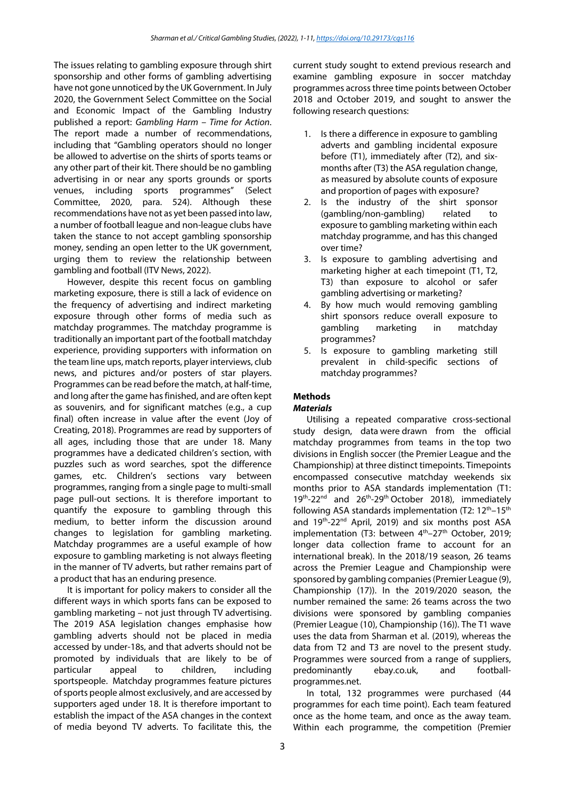The issues relating to gambling exposure through shirt sponsorship and other forms of gambling advertising have not gone unnoticed by the UK Government. In July 2020, the Government Select Committee on the Social and Economic Impact of the Gambling Industry published a report: *Gambling Harm – Time for Action*. The report made a number of recommendations, including that "Gambling operators should no longer be allowed to advertise on the shirts of sports teams or any other part of their kit. There should be no gambling advertising in or near any sports grounds or sports venues, including sports programmes" (Select Committee, 2020, para. 524). Although these recommendations have not as yet been passed into law, a number of football league and non-league clubs have taken the stance to not accept gambling sponsorship money, sending an open letter to the UK government, urging them to review the relationship between gambling and football (ITV News, 2022).

However, despite this recent focus on gambling marketing exposure, there is still a lack of evidence on the frequency of advertising and indirect marketing exposure through other forms of media such as matchday programmes. The matchday programme is traditionally an important part of the football matchday experience, providing supporters with information on the team line ups, match reports, player interviews, club news, and pictures and/or posters of star players. Programmes can be read before the match, at half-time, and long after the game has finished, and are often kept as souvenirs, and for significant matches (e.g., a cup final) often increase in value after the event (Joy of Creating, 2018). Programmes are read by supporters of all ages, including those that are under 18. Many programmes have a dedicated children's section, with puzzles such as word searches, spot the difference games, etc. Children's sections vary between programmes, ranging from a single page to multi-small page pull-out sections. It is therefore important to quantify the exposure to gambling through this medium, to better inform the discussion around changes to legislation for gambling marketing. Matchday programmes are a useful example of how exposure to gambling marketing is not always fleeting in the manner of TV adverts, but rather remains part of a product that has an enduring presence.

It is important for policy makers to consider all the different ways in which sports fans can be exposed to gambling marketing – not just through TV advertising. The 2019 ASA legislation changes emphasise how gambling adverts should not be placed in media accessed by under-18s, and that adverts should not be promoted by individuals that are likely to be of particular appeal to children, including sportspeople. Matchday programmes feature pictures of sports people almost exclusively, and are accessed by supporters aged under 18. It is therefore important to establish the impact of the ASA changes in the context of media beyond TV adverts. To facilitate this, the current study sought to extend previous research and examine gambling exposure in soccer matchday programmes across three time points between October 2018 and October 2019, and sought to answer the following research questions:

- 1. Is there a difference in exposure to gambling adverts and gambling incidental exposure before (T1), immediately after (T2), and sixmonths after (T3) the ASA regulation change, as measured by absolute counts of exposure and proportion of pages with exposure?
- 2. Is the industry of the shirt sponsor (gambling/non-gambling) related to exposure to gambling marketing within each matchday programme, and has this changed over time?
- 3. Is exposure to gambling advertising and marketing higher at each timepoint (T1, T2, T3) than exposure to alcohol or safer gambling advertising or marketing?
- 4. By how much would removing gambling shirt sponsors reduce overall exposure to gambling marketing in matchday programmes?
- 5. Is exposure to gambling marketing still prevalent in child-specific sections of matchday programmes?

### **Methods**

#### *Materials*

Utilising a repeated comparative cross-sectional study design, data were drawn from the official matchday programmes from teams in the top two divisions in English soccer (the Premier League and the Championship) at three distinct timepoints. Timepoints encompassed consecutive matchday weekends six months prior to ASA standards implementation (T1: 19<sup>th</sup>-22<sup>nd</sup> and 26<sup>th</sup>-29<sup>th</sup> October 2018), immediately following ASA standards implementation  $(T2: 12<sup>th</sup>-15<sup>th</sup>)$ and 19<sup>th</sup>-22<sup>nd</sup> April, 2019) and six months post ASA implementation (T3: between 4<sup>th</sup>-27<sup>th</sup> October, 2019; longer data collection frame to account for an international break). In the 2018/19 season, 26 teams across the Premier League and Championship were sponsored by gambling companies (Premier League (9), Championship (17)). In the 2019/2020 season, the number remained the same: 26 teams across the two divisions were sponsored by gambling companies (Premier League (10), Championship (16)). The T1 wave uses the data from Sharman et al. (2019), whereas the data from T2 and T3 are novel to the present study. Programmes were sourced from a range of suppliers, predominantly ebay.co.uk, and footballprogrammes.net.

In total, 132 programmes were purchased (44 programmes for each time point). Each team featured once as the home team, and once as the away team. Within each programme, the competition (Premier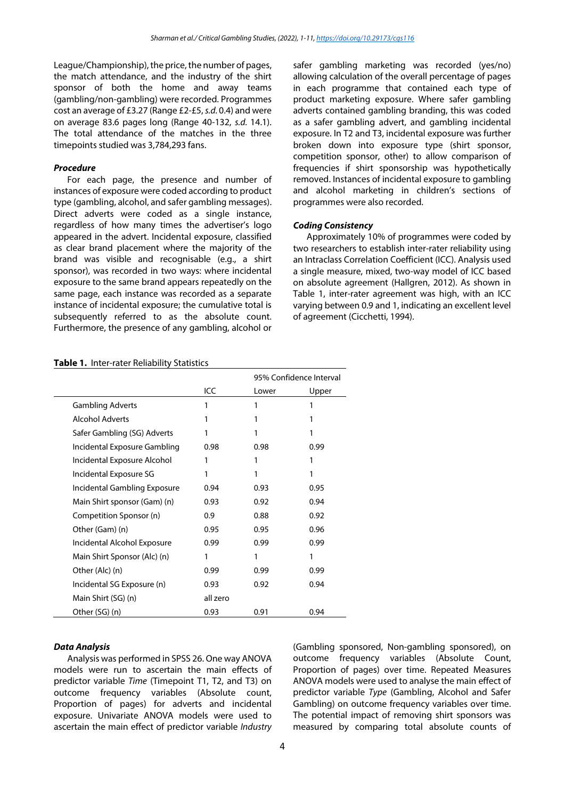League/Championship), the price, the number of pages, the match attendance, and the industry of the shirt sponsor of both the home and away teams (gambling/non-gambling) were recorded. Programmes cost an average of £3.27 (Range £2-£5, *s.d.* 0.4) and were on average 83.6 pages long (Range 40-132, *s.d.* 14.1). The total attendance of the matches in the three timepoints studied was 3,784,293 fans.

#### *Procedure*

For each page, the presence and number of instances of exposure were coded according to product type (gambling, alcohol, and safer gambling messages). Direct adverts were coded as a single instance, regardless of how many times the advertiser's logo appeared in the advert. Incidental exposure, classified as clear brand placement where the majority of the brand was visible and recognisable (e.g., a shirt sponsor), was recorded in two ways: where incidental exposure to the same brand appears repeatedly on the same page, each instance was recorded as a separate instance of incidental exposure; the cumulative total is subsequently referred to as the absolute count. Furthermore, the presence of any gambling, alcohol or

safer gambling marketing was recorded (yes/no) allowing calculation of the overall percentage of pages in each programme that contained each type of product marketing exposure. Where safer gambling adverts contained gambling branding, this was coded as a safer gambling advert, and gambling incidental exposure. In T2 and T3, incidental exposure was further broken down into exposure type (shirt sponsor, competition sponsor, other) to allow comparison of frequencies if shirt sponsorship was hypothetically removed. Instances of incidental exposure to gambling and alcohol marketing in children's sections of programmes were also recorded.

#### *Coding Consistency*

Approximately 10% of programmes were coded by two researchers to establish inter-rater reliability using an Intraclass Correlation Coefficient (ICC). Analysis used a single measure, mixed, two-way model of ICC based on absolute agreement (Hallgren, 2012). As shown in Table 1, inter-rater agreement was high, with an ICC varying between 0.9 and 1, indicating an excellent level of agreement (Cicchetti, 1994).

#### **Table 1.** Inter-rater Reliability Statistics

|                              |          |       | 95% Confidence Interval |  |
|------------------------------|----------|-------|-------------------------|--|
|                              | ICC      | Lower | Upper                   |  |
| <b>Gambling Adverts</b>      | 1        |       |                         |  |
| <b>Alcohol Adverts</b>       | 1        | 1     |                         |  |
| Safer Gambling (SG) Adverts  | 1        |       | 1                       |  |
| Incidental Exposure Gambling | 0.98     | 0.98  | 0.99                    |  |
| Incidental Exposure Alcohol  | 1        | 1     | 1                       |  |
| Incidental Exposure SG       | 1        | 1     | 1                       |  |
| Incidental Gambling Exposure | 0.94     | 0.93  | 0.95                    |  |
| Main Shirt sponsor (Gam) (n) | 0.93     | 0.92  | 0.94                    |  |
| Competition Sponsor (n)      | 0.9      | 0.88  | 0.92                    |  |
| Other (Gam) (n)              | 0.95     | 0.95  | 0.96                    |  |
| Incidental Alcohol Exposure  | 0.99     | 0.99  | 0.99                    |  |
| Main Shirt Sponsor (Alc) (n) | 1        | 1     | 1                       |  |
| Other (Alc) (n)              | 0.99     | 0.99  | 0.99                    |  |
| Incidental SG Exposure (n)   | 0.93     | 0.92  | 0.94                    |  |
| Main Shirt (SG) (n)          | all zero |       |                         |  |
| Other (SG) (n)               | 0.93     | 0.91  | 0.94                    |  |

#### *Data Analysis*

Analysis was performed in SPSS 26. One way ANOVA models were run to ascertain the main effects of predictor variable *Time* (Timepoint T1, T2, and T3) on outcome frequency variables (Absolute count, Proportion of pages) for adverts and incidental exposure. Univariate ANOVA models were used to ascertain the main effect of predictor variable *Industry*

(Gambling sponsored, Non-gambling sponsored), on outcome frequency variables (Absolute Count, Proportion of pages) over time. Repeated Measures ANOVA models were used to analyse the main effect of predictor variable *Type* (Gambling, Alcohol and Safer Gambling) on outcome frequency variables over time. The potential impact of removing shirt sponsors was measured by comparing total absolute counts of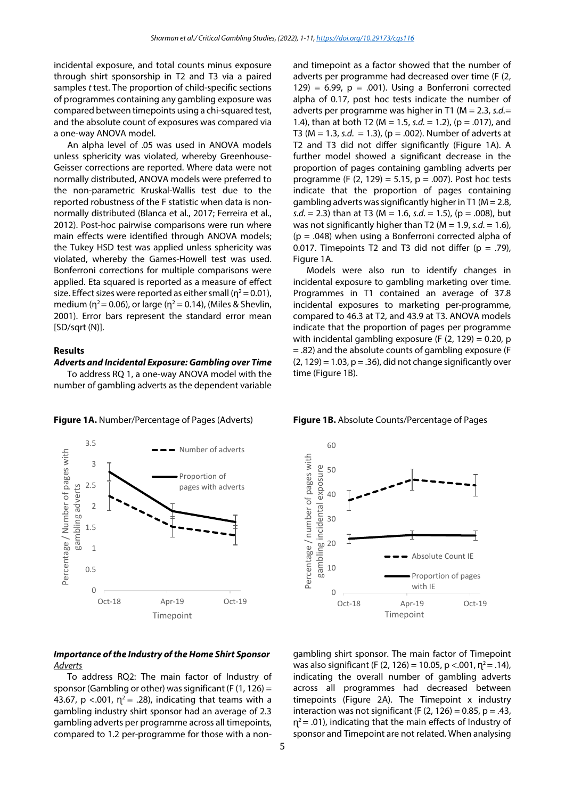incidental exposure, and total counts minus exposure through shirt sponsorship in T2 and T3 via a paired samples *t* test. The proportion of child-specific sections of programmes containing any gambling exposure was compared between timepoints using a chi-squared test, and the absolute count of exposures was compared via a one-way ANOVA model.

An alpha level of .05 was used in ANOVA models unless sphericity was violated, whereby Greenhouse-Geisser corrections are reported. Where data were not normally distributed, ANOVA models were preferred to the non-parametric Kruskal-Wallis test due to the reported robustness of the F statistic when data is nonnormally distributed (Blanca et al., 2017; Ferreira et al., 2012). Post-hoc pairwise comparisons were run where main effects were identified through ANOVA models; the Tukey HSD test was applied unless sphericity was violated, whereby the Games-Howell test was used. Bonferroni corrections for multiple comparisons were applied. Eta squared is reported as a measure of effect size. Effect sizes were reported as either small ( $\eta^2$  = 0.01), medium ( $\eta^2$  = 0.06), or large ( $\eta^2$  = 0.14), (Miles & Shevlin, 2001). Error bars represent the standard error mean [SD/sqrt (N)].

#### **Results**

#### *Adverts and Incidental Exposure: Gambling over Time*

To address RQ 1, a one-way ANOVA model with the number of gambling adverts as the dependent variable



#### *Importance of the Industry of the Home Shirt Sponsor Adverts*

To address RQ2: The main factor of Industry of sponsor (Gambling or other) was significant (F  $(1, 126)$  = 43.67, p <.001,  $\eta^2$  = .28), indicating that teams with a gambling industry shirt sponsor had an average of 2.3 gambling adverts per programme across all timepoints, compared to 1.2 per-programme for those with a nonand timepoint as a factor showed that the number of adverts per programme had decreased over time (F (2, 129) = 6.99,  $p = .001$ ). Using a Bonferroni corrected alpha of 0.17, post hoc tests indicate the number of adverts per programme was higher in T1 (M = 2.3, *s.d.*= 1.4), than at both T2 (M = 1.5, *s.d.* = 1.2), (p = .017), and T3 (M = 1.3, *s.d.* = 1.3), (p = .002). Number of adverts at T2 and T3 did not differ significantly (Figure 1A). A further model showed a significant decrease in the proportion of pages containing gambling adverts per programme (F  $(2, 129) = 5.15$ ,  $p = .007$ ). Post hoc tests indicate that the proportion of pages containing gambling adverts was significantly higher in T1 ( $M = 2.8$ , *s.d.* = 2.3) than at T3 (M = 1.6, *s.d.* = 1.5), (p = .008), but was not significantly higher than T2 (M = 1.9, *s.d.* = 1.6),  $(p = .048)$  when using a Bonferroni corrected alpha of 0.017. Timepoints T2 and T3 did not differ  $(p = .79)$ , Figure 1A.

Models were also run to identify changes in incidental exposure to gambling marketing over time. Programmes in T1 contained an average of 37.8 incidental exposures to marketing per-programme, compared to 46.3 at T2, and 43.9 at T3. ANOVA models indicate that the proportion of pages per programme with incidental gambling exposure (F  $(2, 129) = 0.20$ , p = .82) and the absolute counts of gambling exposure (F  $(2, 129) = 1.03$ ,  $p = .36$ ), did not change significantly over time (Figure 1B).

**Figure 1A.** Number/Percentage of Pages (Adverts) **Figure 1B.** Absolute Counts/Percentage of Pages



gambling shirt sponsor. The main factor of Timepoint was also significant (F (2, 126) = 10.05, p <.001,  $n^2$  = .14), indicating the overall number of gambling adverts across all programmes had decreased between timepoints (Figure 2A). The Timepoint x industry interaction was not significant (F  $(2, 126) = 0.85$ , p = .43,  $η<sup>2</sup> = .01$ ), indicating that the main effects of Industry of sponsor and Timepoint are not related. When analysing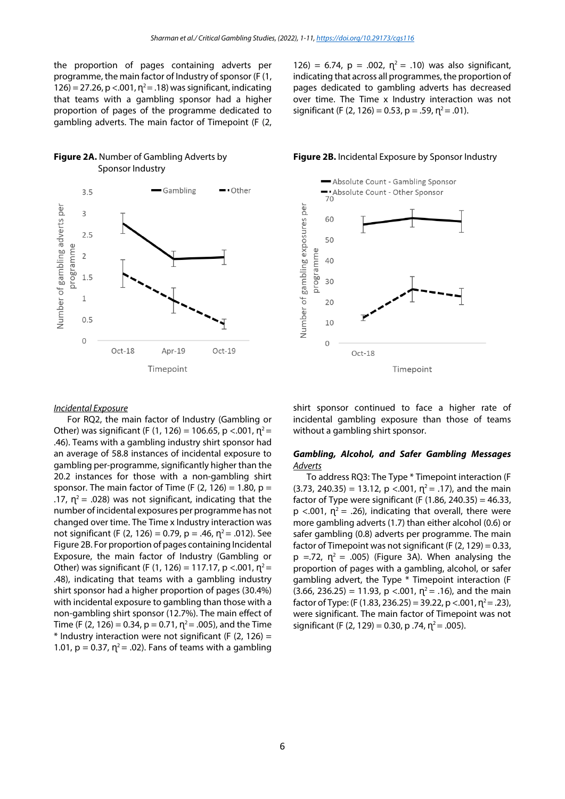the proportion of pages containing adverts per programme, the main factor of Industry of sponsor (F (1, 126) = 27.26, p <.001,  $\eta^2$  = .18) was significant, indicating that teams with a gambling sponsor had a higher proportion of pages of the programme dedicated to gambling adverts. The main factor of Timepoint (F (2,





126) = 6.74, p = .002,  $\eta^2$  = .10) was also significant, indicating that across all programmes, the proportion of pages dedicated to gambling adverts has decreased over time. The Time x Industry interaction was not significant (F (2, 126) = 0.53, p = .59,  $p^2$  = .01).

#### **Figure 2A.** Number of Gambling Adverts by **Figure 2B.** Incidental Exposure by Sponsor Industry



#### *Incidental Exposure*

For RQ2, the main factor of Industry (Gambling or Other) was significant (F (1, 126) = 106.65, p <.001,  $\eta^2$  = .46). Teams with a gambling industry shirt sponsor had an average of 58.8 instances of incidental exposure to gambling per-programme, significantly higher than the 20.2 instances for those with a non-gambling shirt sponsor. The main factor of Time (F  $(2, 126) = 1.80$ , p = .17,  $\eta^2$  = .028) was not significant, indicating that the number of incidental exposures per programme has not changed over time. The Time x Industry interaction was not significant (F (2, 126) = 0.79, p = .46,  $\eta^2$  = .012). See Figure 2B. For proportion of pages containing Incidental Exposure, the main factor of Industry (Gambling or Other) was significant (F (1, 126) = 117.17, p <.001,  $n^2$  = .48), indicating that teams with a gambling industry shirt sponsor had a higher proportion of pages (30.4%) with incidental exposure to gambling than those with a non-gambling shirt sponsor (12.7%). The main effect of Time (F (2, 126) = 0.34,  $p = 0.71$ ,  $n^2 = .005$ ), and the Time  $*$  Industry interaction were not significant (F (2, 126) = 1.01,  $p = 0.37$ ,  $\eta^2 = .02$ ). Fans of teams with a gambling

shirt sponsor continued to face a higher rate of incidental gambling exposure than those of teams without a gambling shirt sponsor.

#### *Gambling, Alcohol, and Safer Gambling Messages Adverts*

To address RQ3: The Type \* Timepoint interaction (F  $(3.73, 240.35) = 13.12$ ,  $p < .001$ ,  $n^2 = .17$ ), and the main factor of Type were significant (F  $(1.86, 240.35) = 46.33$ ,  $p \lt 0.001$ ,  $\eta^2 = 0.26$ ), indicating that overall, there were more gambling adverts (1.7) than either alcohol (0.6) or safer gambling (0.8) adverts per programme. The main factor of Timepoint was not significant (F  $(2, 129) = 0.33$ ,  $p = 72$ ,  $\eta^2 = .005$ ) (Figure 3A). When analysing the proportion of pages with a gambling, alcohol, or safer gambling advert, the Type \* Timepoint interaction (F  $(3.66, 236.25) = 11.93$ , p <.001,  $\eta^2 = .16$ ), and the main factor of Type: (F (1.83, 236.25) = 39.22, p <.001,  $\eta^2$  = .23), were significant. The main factor of Timepoint was not significant (F (2, 129) = 0.30, p .74,  $\eta^2$  = .005).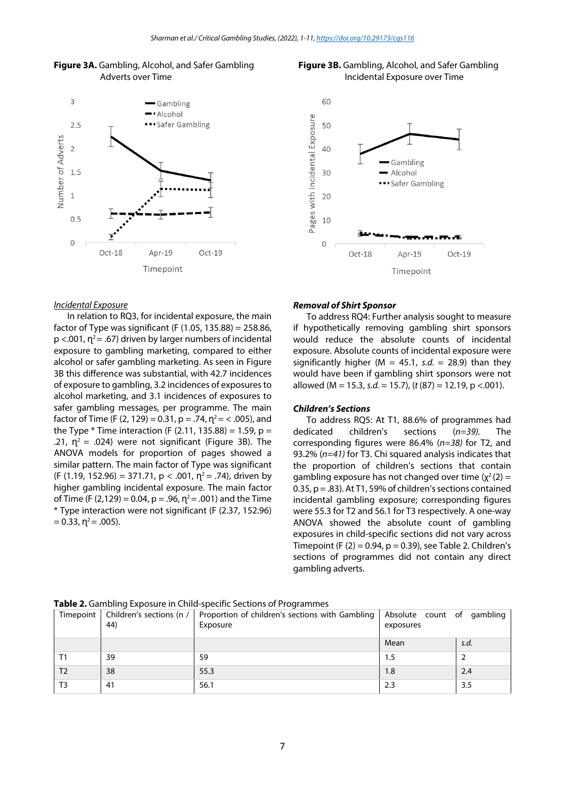





#### *Incidental Exposure*

In relation to RQ3, for incidental exposure, the main factor of Type was significant (F  $(1.05, 135.88) = 258.86$ ,  $p$  <.001,  $n^2$  = .67) driven by larger numbers of incidental exposure to gambling marketing, compared to either alcohol or safer gambling marketing. As seen in Figure 3B this difference was substantial, with 42.7 incidences of exposure to gambling, 3.2 incidences of exposures to alcohol marketing, and 3.1 incidences of exposures to safer gambling messages, per programme. The main factor of Time (F (2, 129) = 0.31, p = .74,  $\eta^2$  = < .005), and the Type  $*$  Time interaction (F (2.11, 135.88) = 1.59, p = .21,  $\eta^2$  = .024) were not significant (Figure 3B). The ANOVA models for proportion of pages showed a similar pattern. The main factor of Type was significant (F (1.19, 152.96) = 371.71,  $p < .001$ ,  $n^2 = .74$ ), driven by higher gambling incidental exposure. The main factor of Time (F (2,129) = 0.04, p = .96,  $n^2$  = .001) and the Time \* Type interaction were not significant (F (2.37, 152.96)  $= 0.33$ ,  $\eta^2 = .005$ ).

#### *Removal of Shirt Sponsor*

To address RQ4: Further analysis sought to measure if hypothetically removing gambling shirt sponsors would reduce the absolute counts of incidental exposure. Absolute counts of incidental exposure were significantly higher ( $M = 45.1$ , *s.d.* = 28.9) than they would have been if gambling shirt sponsors were not allowed (M = 15.3, *s.d.* = 15.7), (*t* (87) = 12.19, p <.001).

#### *Children's Sections*

To address RQ5: At T1, 88.6% of programmes had dedicated children's sections (*n=39).* The corresponding figures were 86.4% (*n=38)* for T2, and 93.2% (*n=41)* for T3. Chi squared analysis indicates that the proportion of children's sections that contain gambling exposure has not changed over time  $(y^2(2) =$ 0.35, p = .83). At T1, 59% of children's sections contained incidental gambling exposure; corresponding figures were 55.3 for T2 and 56.1 for T3 respectively. A one-way ANOVA showed the absolute count of gambling exposures in child-specific sections did not vary across Timepoint (F  $(2)$  = 0.94, p = 0.39), see Table 2. Children's sections of programmes did not contain any direct gambling adverts.

|                | 44) | Timepoint   Children's sections (n /   Proportion of children's sections with Gambling   Absolute count of gambling<br>Exposure | exposures |      |
|----------------|-----|---------------------------------------------------------------------------------------------------------------------------------|-----------|------|
|                |     |                                                                                                                                 | Mean      | s.d. |
|                | 39  | 59                                                                                                                              | 1.5       |      |
| T <sub>2</sub> | 38  | 55.3                                                                                                                            | 1.8       | 2.4  |
| T <sub>3</sub> | 41  | 56.1                                                                                                                            | 2.3       | 3.5  |

**Table 2.** Gambling Exposure in Child-specific Sections of Programmes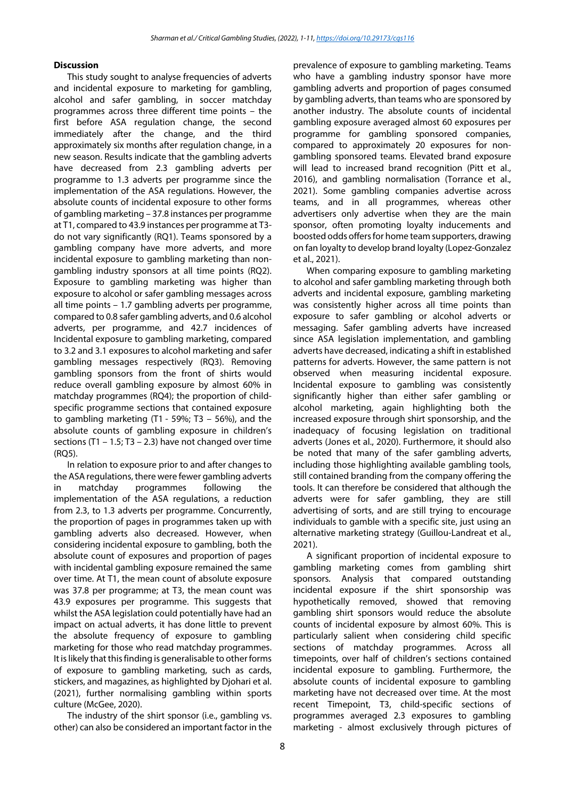#### **Discussion**

This study sought to analyse frequencies of adverts and incidental exposure to marketing for gambling, alcohol and safer gambling, in soccer matchday programmes across three different time points – the first before ASA regulation change, the second immediately after the change, and the third approximately six months after regulation change, in a new season. Results indicate that the gambling adverts have decreased from 2.3 gambling adverts per programme to 1.3 adverts per programme since the implementation of the ASA regulations. However, the absolute counts of incidental exposure to other forms of gambling marketing – 37.8 instances per programme at T1, compared to 43.9 instances per programme at T3 do not vary significantly (RQ1). Teams sponsored by a gambling company have more adverts, and more incidental exposure to gambling marketing than nongambling industry sponsors at all time points (RQ2). Exposure to gambling marketing was higher than exposure to alcohol or safer gambling messages across all time points – 1.7 gambling adverts per programme, compared to 0.8 safer gambling adverts, and 0.6 alcohol adverts, per programme, and 42.7 incidences of Incidental exposure to gambling marketing, compared to 3.2 and 3.1 exposures to alcohol marketing and safer gambling messages respectively (RQ3). Removing gambling sponsors from the front of shirts would reduce overall gambling exposure by almost 60% in matchday programmes (RQ4); the proportion of childspecific programme sections that contained exposure to gambling marketing  $(T1 - 59\%)$ ; T3 - 56%), and the absolute counts of gambling exposure in children's sections (T1 – 1.5; T3 – 2.3) have not changed over time (RQ5).

In relation to exposure prior to and after changes to the ASA regulations, there were fewer gambling adverts in matchday programmes following the implementation of the ASA regulations, a reduction from 2.3, to 1.3 adverts per programme. Concurrently, the proportion of pages in programmes taken up with gambling adverts also decreased. However, when considering incidental exposure to gambling, both the absolute count of exposures and proportion of pages with incidental gambling exposure remained the same over time. At T1, the mean count of absolute exposure was 37.8 per programme; at T3, the mean count was 43.9 exposures per programme. This suggests that whilst the ASA legislation could potentially have had an impact on actual adverts, it has done little to prevent the absolute frequency of exposure to gambling marketing for those who read matchday programmes. It is likely that this finding is generalisable to other forms of exposure to gambling marketing, such as cards, stickers, and magazines, as highlighted by Djohari et al. (2021), further normalising gambling within sports culture (McGee, 2020).

The industry of the shirt sponsor (i.e., gambling vs. other) can also be considered an important factor in the

prevalence of exposure to gambling marketing. Teams who have a gambling industry sponsor have more gambling adverts and proportion of pages consumed by gambling adverts, than teams who are sponsored by another industry. The absolute counts of incidental gambling exposure averaged almost 60 exposures per programme for gambling sponsored companies, compared to approximately 20 exposures for nongambling sponsored teams. Elevated brand exposure will lead to increased brand recognition (Pitt et al., 2016), and gambling normalisation (Torrance et al., 2021). Some gambling companies advertise across teams, and in all programmes, whereas other advertisers only advertise when they are the main sponsor, often promoting loyalty inducements and boosted odds offers for home team supporters, drawing on fan loyalty to develop brand loyalty (Lopez-Gonzalez et al., 2021).

When comparing exposure to gambling marketing to alcohol and safer gambling marketing through both adverts and incidental exposure, gambling marketing was consistently higher across all time points than exposure to safer gambling or alcohol adverts or messaging. Safer gambling adverts have increased since ASA legislation implementation, and gambling adverts have decreased, indicating a shift in established patterns for adverts. However, the same pattern is not observed when measuring incidental exposure. Incidental exposure to gambling was consistently significantly higher than either safer gambling or alcohol marketing, again highlighting both the increased exposure through shirt sponsorship, and the inadequacy of focusing legislation on traditional adverts (Jones et al., 2020). Furthermore, it should also be noted that many of the safer gambling adverts, including those highlighting available gambling tools, still contained branding from the company offering the tools. It can therefore be considered that although the adverts were for safer gambling, they are still advertising of sorts, and are still trying to encourage individuals to gamble with a specific site, just using an alternative marketing strategy (Guillou-Landreat et al., 2021).

A significant proportion of incidental exposure to gambling marketing comes from gambling shirt sponsors. Analysis that compared outstanding incidental exposure if the shirt sponsorship was hypothetically removed, showed that removing gambling shirt sponsors would reduce the absolute counts of incidental exposure by almost 60%. This is particularly salient when considering child specific sections of matchday programmes. Across all timepoints, over half of children's sections contained incidental exposure to gambling. Furthermore, the absolute counts of incidental exposure to gambling marketing have not decreased over time. At the most recent Timepoint, T3, child-specific sections of programmes averaged 2.3 exposures to gambling marketing - almost exclusively through pictures of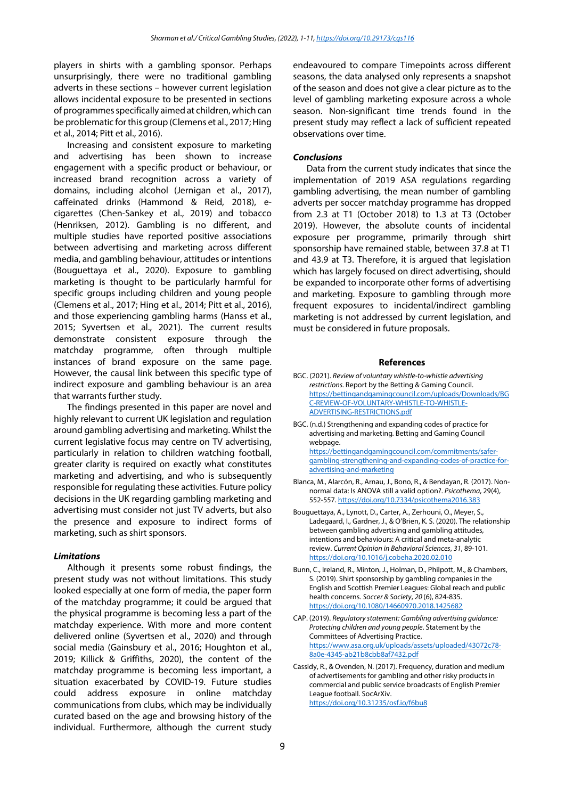players in shirts with a gambling sponsor. Perhaps unsurprisingly, there were no traditional gambling adverts in these sections – however current legislation allows incidental exposure to be presented in sections of programmes specifically aimed at children, which can be problematic for this group (Clemens et al., 2017; Hing et al., 2014; Pitt et al., 2016).

Increasing and consistent exposure to marketing and advertising has been shown to increase engagement with a specific product or behaviour, or increased brand recognition across a variety of domains, including alcohol (Jernigan et al., 2017), caffeinated drinks (Hammond & Reid, 2018), ecigarettes (Chen-Sankey et al., 2019) and tobacco (Henriksen, 2012). Gambling is no different, and multiple studies have reported positive associations between advertising and marketing across different media, and gambling behaviour, attitudes or intentions (Bouguettaya et al., 2020). Exposure to gambling marketing is thought to be particularly harmful for specific groups including children and young people (Clemens et al., 2017; Hing et al., 2014; Pitt et al., 2016), and those experiencing gambling harms (Hanss et al., 2015; Syvertsen et al., 2021). The current results demonstrate consistent exposure through the matchday programme, often through multiple instances of brand exposure on the same page. However, the causal link between this specific type of indirect exposure and gambling behaviour is an area that warrants further study.

The findings presented in this paper are novel and highly relevant to current UK legislation and regulation around gambling advertising and marketing. Whilst the current legislative focus may centre on TV advertising, particularly in relation to children watching football, greater clarity is required on exactly what constitutes marketing and advertising, and who is subsequently responsible for regulating these activities. Future policy decisions in the UK regarding gambling marketing and advertising must consider not just TV adverts, but also the presence and exposure to indirect forms of marketing, such as shirt sponsors.

#### *Limitations*

Although it presents some robust findings, the present study was not without limitations. This study looked especially at one form of media, the paper form of the matchday programme; it could be argued that the physical programme is becoming less a part of the matchday experience. With more and more content delivered online (Syvertsen et al., 2020) and through social media (Gainsbury et al., 2016; Houghton et al., 2019; Killick & Griffiths, 2020), the content of the matchday programme is becoming less important, a situation exacerbated by COVID-19. Future studies could address exposure in online matchday communications from clubs, which may be individually curated based on the age and browsing history of the individual. Furthermore, although the current study endeavoured to compare Timepoints across different seasons, the data analysed only represents a snapshot of the season and does not give a clear picture as to the level of gambling marketing exposure across a whole season. Non-significant time trends found in the present study may reflect a lack of sufficient repeated observations over time.

#### *Conclusions*

Data from the current study indicates that since the implementation of 2019 ASA regulations regarding gambling advertising, the mean number of gambling adverts per soccer matchday programme has dropped from 2.3 at T1 (October 2018) to 1.3 at T3 (October 2019). However, the absolute counts of incidental exposure per programme, primarily through shirt sponsorship have remained stable, between 37.8 at T1 and 43.9 at T3. Therefore, it is argued that legislation which has largely focused on direct advertising, should be expanded to incorporate other forms of advertising and marketing. Exposure to gambling through more frequent exposures to incidental/indirect gambling marketing is not addressed by current legislation, and must be considered in future proposals.

#### **References**

- BGC. (2021). *Review of voluntary whistle-to-whistle advertising restrictions.* Report by the Betting & Gaming Council. [https://bettingandgamingcouncil.com/uploads/Downloads/BG](https://bettingandgamingcouncil.com/uploads/Downloads/BGC-REVIEW-OF-VOLUNTARY-WHISTLE-TO-WHISTLE-ADVERTISING-RESTRICTIONS.pdf) [C-REVIEW-OF-VOLUNTARY-WHISTLE-TO-WHISTLE-](https://bettingandgamingcouncil.com/uploads/Downloads/BGC-REVIEW-OF-VOLUNTARY-WHISTLE-TO-WHISTLE-ADVERTISING-RESTRICTIONS.pdf)[ADVERTISING-RESTRICTIONS.pdf](https://bettingandgamingcouncil.com/uploads/Downloads/BGC-REVIEW-OF-VOLUNTARY-WHISTLE-TO-WHISTLE-ADVERTISING-RESTRICTIONS.pdf)
- BGC. (n.d.) Strengthening and expanding codes of practice for advertising and marketing*.* Betting and Gaming Council webpage. [https://bettingandgamingcouncil.com/commitments/safer](https://bettingandgamingcouncil.com/commitments/safer-gambling-strengthening-and-expanding-codes-of-practice-for-advertising-and-marketing)[gambling-strengthening-and-expanding-codes-of-practice-for](https://bettingandgamingcouncil.com/commitments/safer-gambling-strengthening-and-expanding-codes-of-practice-for-advertising-and-marketing)[advertising-and-marketing](https://bettingandgamingcouncil.com/commitments/safer-gambling-strengthening-and-expanding-codes-of-practice-for-advertising-and-marketing)
- Blanca, M., Alarcón, R., Arnau, J., Bono, R., & Bendayan, R. (2017). Nonnormal data: Is ANOVA still a valid option?. *Psicothema*, 29(4), 552-557[. https://doi.org/10.7334/psicothema2016.383](https://doi.org/10.7334/psicothema2016.383)
- Bouguettaya, A., Lynott, D., Carter, A., Zerhouni, O., Meyer, S., Ladegaard, I., Gardner, J., & O'Brien, K. S. (2020). The relationship between gambling advertising and gambling attitudes, intentions and behaviours: A critical and meta-analytic review. *Current Opinion in Behavioral Sciences*, *31*, 89-101. <https://doi.org/10.1016/j.cobeha.2020.02.010>
- Bunn, C., Ireland, R., Minton, J., Holman, D., Philpott, M., & Chambers, S. (2019). Shirt sponsorship by gambling companies in the English and Scottish Premier Leagues: Global reach and public health concerns. *Soccer & Society*, *20* (6), 824-835. <https://doi.org/10.1080/14660970.2018.1425682>
- CAP. (2019). *Regulatory statement: Gambling advertising guidance: Protecting children and young people*. Statement by the Committees of Advertising Practice. [https://www.asa.org.uk/uploads/assets/uploaded/43072c78-](https://www.asa.org.uk/uploads/assets/uploaded/43072c78-8a0e-4345-ab21b8cbb8af7432.pdf) [8a0e-4345-ab21b8cbb8af7432.pdf](https://www.asa.org.uk/uploads/assets/uploaded/43072c78-8a0e-4345-ab21b8cbb8af7432.pdf)
- Cassidy, R., & Ovenden, N. (2017). Frequency, duration and medium of advertisements for gambling and other risky products in commercial and public service broadcasts of English Premier League football. SocArXiv. <https://doi.org/10.31235/osf.io/f6bu8>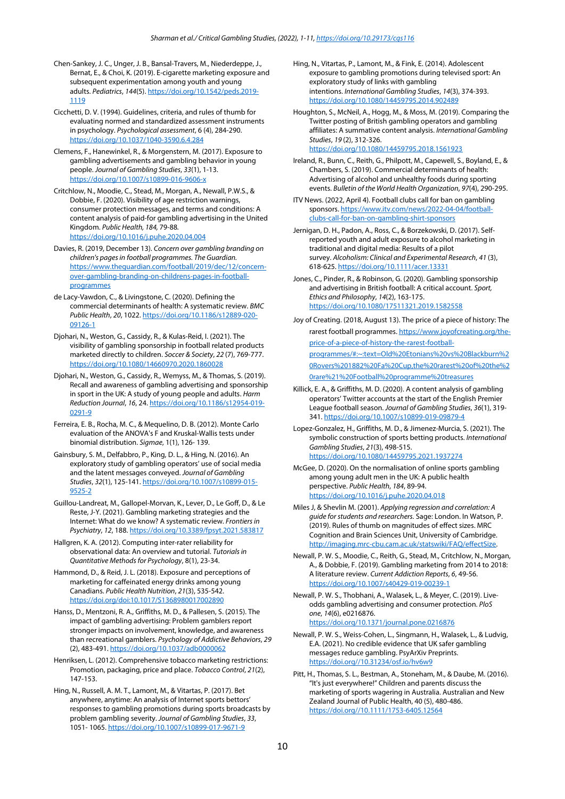- Chen-Sankey, J. C., Unger, J. B., Bansal-Travers, M., Niederdeppe, J., Bernat, E., & Choi, K. (2019). E-cigarette marketing exposure and subsequent experimentation among youth and young adults. *Pediatrics*, *144*(5)[. https://doi.org/10.1542/peds.2019-](https://doi.org/10.1542/peds.2019-1119) [1119](https://doi.org/10.1542/peds.2019-1119)
- Cicchetti, D. V. (1994). Guidelines, criteria, and rules of thumb for evaluating normed and standardized assessment instruments in psychology. *Psychological assessment*, 6 (4), 284-290. <https://doi.org/10.1037/1040-3590.6.4.284>
- Clemens, F., Hanewinkel, R., & Morgenstern, M. (2017). Exposure to gambling advertisements and gambling behavior in young people. *Journal of Gambling Studies*, *33*(1), 1-13. <https://doi.org/10.1007/s10899-016-9606-x>
- Critchlow, N., Moodie, C., Stead, M., Morgan, A., Newall, P.W.S., & Dobbie, F. (2020). Visibility of age restriction warnings, consumer protection messages, and terms and conditions: A content analysis of paid-for gambling advertising in the United Kingdom. *Public Health, 184,* 79-88*.*  <https://doi.org/10.1016/j.puhe.2020.04.004>
- Davies, R. (2019, December 13). *Concern over gambling branding on children's pages in football programmes. The Guardian.*  [https://www.theguardian.com/football/2019/dec/12/concern](https://www.theguardian.com/football/2019/dec/12/concern-over-gambling-branding-on-childrens-pages-in-football-programmes)[over-gambling-branding-on-childrens-pages-in-football](https://www.theguardian.com/football/2019/dec/12/concern-over-gambling-branding-on-childrens-pages-in-football-programmes)[programmes](https://www.theguardian.com/football/2019/dec/12/concern-over-gambling-branding-on-childrens-pages-in-football-programmes)
- de Lacy-Vawdon, C., & Livingstone, C. (2020). Defining the commercial determinants of health: A systematic review. *BMC Public Health*, *20*, 1022. [https://doi.org/10.1186/s12889-020-](https://doi.org/10.1186/s12889-020-09126-1) [09126-1](https://doi.org/10.1186/s12889-020-09126-1)
- Djohari, N., Weston, G., Cassidy, R., & Kulas-Reid, I. (2021). The visibility of gambling sponsorship in football related products marketed directly to children. *Soccer & Society*, *22* (7), 769-777. <https://doi.org/10.1080/14660970.2020.1860028>
- Djohari, N., Weston, G., Cassidy, R., Wemyss, M., & Thomas, S. (2019). Recall and awareness of gambling advertising and sponsorship in sport in the UK: A study of young people and adults. *Harm Reduction Journal*, *16*, 24[. https://doi.org/10.1186/s12954-019-](https://doi.org/10.1186/s12954-019-0291-9) [0291-9](https://doi.org/10.1186/s12954-019-0291-9)
- Ferreira, E. B., Rocha, M. C., & Mequelino, D. B. (2012). Monte Carlo evaluation of the ANOVA's F and Kruskal-Wallis tests under binomial distribution. *Sigmae*, 1(1), 126- 139.
- Gainsbury, S. M., Delfabbro, P., King, D. L., & Hing, N. (2016). An exploratory study of gambling operators' use of social media and the latent messages conveyed. *Journal of Gambling Studies*, *32*(1), 125-141[. https://doi.org/10.1007/s10899-015-](https://doi.org/10.1007/s10899-015-9525-2) [9525-2](https://doi.org/10.1007/s10899-015-9525-2)
- Guillou-Landreat, M., Gallopel-Morvan, K., Lever, D., Le Goff, D., & Le Reste, J-Y. (2021). Gambling marketing strategies and the Internet: What do we know? A systematic review. *Frontiers in Psychiatry*, *12*, 188[. https://doi.org/10.3389/fpsyt.2021.583817](https://doi.org/10.3389/fpsyt.2021.583817)
- Hallgren, K. A. (2012). Computing inter-rater reliability for observational data: An overview and tutorial. *Tutorials in Quantitative Methods for Psychology*, 8(1), 23-34.
- Hammond, D., & Reid, J. L. (2018). Exposure and perceptions of marketing for caffeinated energy drinks among young Canadians. *Public Health Nutrition*, *21*(3), 535-542. <https://doi.org/doi:10.1017/S1368980017002890>
- Hanss, D., Mentzoni, R. A., Griffiths, M. D., & Pallesen, S. (2015). The impact of gambling advertising: Problem gamblers report stronger impacts on involvement, knowledge, and awareness than recreational gamblers. *Psychology of Addictive Behaviors*, *29*  (2), 483-491[. https://doi.org/10.1037/adb0000062](https://doi.org/10.1037/adb0000062)
- Henriksen, L. (2012). Comprehensive tobacco marketing restrictions: Promotion, packaging, price and place. *Tobacco Control*, *21*(2), 147-153.
- Hing, N., Russell, A. M. T., Lamont, M., & Vitartas, P. (2017). Bet anywhere, anytime: An analysis of Internet sports bettors' responses to gambling promotions during sports broadcasts by problem gambling severity. *Journal of Gambling Studies*, *33*, 1051- 1065[. https://doi.org/10.1007/s10899-017-9671-9](https://doi.org/10.1007/s10899-017-9671-9)
- Hing, N., Vitartas, P., Lamont, M., & Fink, E. (2014). Adolescent exposure to gambling promotions during televised sport: An exploratory study of links with gambling intentions. *International Gambling Studies*, *14*(3), 374-393. <https://doi.org/10.1080/14459795.2014.902489>
- Houghton, S., McNeil, A., Hogg, M., & Moss, M. (2019). Comparing the Twitter posting of British gambling operators and gambling affiliates: A summative content analysis. *International Gambling Studies*, *19* (2), 312-326. <https://doi.org/10.1080/14459795.2018.1561923>
- Ireland, R., Bunn, C., Reith, G., Philpott, M., Capewell, S., Boyland, E., & Chambers, S. (2019). Commercial determinants of health: Advertising of alcohol and unhealthy foods during sporting events. *Bulletin of the World Health Organization*, *97*(4), 290-295.
- ITV News. (2022, April 4). Football clubs call for ban on gambling sponsors[. https://www.itv.com/news/2022-04-04/football](https://www.itv.com/news/2022-04-04/football-clubs-call-for-ban-on-gambling-shirt-sponsors)[clubs-call-for-ban-on-gambling-shirt-sponsors](https://www.itv.com/news/2022-04-04/football-clubs-call-for-ban-on-gambling-shirt-sponsors)
- Jernigan, D. H., Padon, A., Ross, C., & Borzekowski, D. (2017). Self‐ reported youth and adult exposure to alcohol marketing in traditional and digital media: Results of a pilot survey. *Alcoholism: Clinical and Experimental Research*, *41* (3), 618-625[. https://doi.org/10.1111/acer.13331](https://doi.org/10.1111/acer.13331)
- Jones, C., Pinder, R., & Robinson, G. (2020). Gambling sponsorship and advertising in British football: A critical account. *Sport, Ethics and Philosophy*, *14*(2), 163-175. <https://doi.org/10.1080/17511321.2019.1582558>
- Joy of Creating. (2018, August 13). The price of a piece of history: The rarest football programmes[. https://www.joyofcreating.org/the](https://www.joyofcreating.org/the-price-of-a-piece-of-history-the-rarest-football-programmes/#:%7E:text=Old%20Etonians%20vs%20Blackburn%20Rovers%201882%20Fa%20Cup,the%20rarest%20of%20the%20rare%21%20Football%20programme%20treasures)[price-of-a-piece-of-history-the-rarest-football](https://www.joyofcreating.org/the-price-of-a-piece-of-history-the-rarest-football-programmes/#:%7E:text=Old%20Etonians%20vs%20Blackburn%20Rovers%201882%20Fa%20Cup,the%20rarest%20of%20the%20rare%21%20Football%20programme%20treasures)[programmes/#:~:text=Old%20Etonians%20vs%20Blackburn%2](https://www.joyofcreating.org/the-price-of-a-piece-of-history-the-rarest-football-programmes/#:%7E:text=Old%20Etonians%20vs%20Blackburn%20Rovers%201882%20Fa%20Cup,the%20rarest%20of%20the%20rare%21%20Football%20programme%20treasures) [0Rovers%201882%20Fa%20Cup,the%20rarest%20of%20the%2](https://www.joyofcreating.org/the-price-of-a-piece-of-history-the-rarest-football-programmes/#:%7E:text=Old%20Etonians%20vs%20Blackburn%20Rovers%201882%20Fa%20Cup,the%20rarest%20of%20the%20rare%21%20Football%20programme%20treasures) [0rare%21%20Football%20programme%20treasures](https://www.joyofcreating.org/the-price-of-a-piece-of-history-the-rarest-football-programmes/#:%7E:text=Old%20Etonians%20vs%20Blackburn%20Rovers%201882%20Fa%20Cup,the%20rarest%20of%20the%20rare%21%20Football%20programme%20treasures)
- Killick, E. A., & Griffiths, M. D. (2020). A content analysis of gambling operators' Twitter accounts at the start of the English Premier League football season. *Journal of Gambling Studies*, *36*(1), 319- 341[. https://doi.org/10.1007/s10899-019-09879-4](https://doi.org/10.1007/s10899-019-09879-4)
- Lopez-Gonzalez, H., Griffiths, M. D., & Jimenez-Murcia, S. (2021). The symbolic construction of sports betting products. *International Gambling Studies*, *21*(3), 498-515. <https://doi.org/10.1080/14459795.2021.1937274>
- McGee, D. (2020). On the normalisation of online sports gambling among young adult men in the UK: A public health perspective. *Public Health*, *184*, 89-94. <https://doi.org/10.1016/j.puhe.2020.04.018>
- Miles J, & Shevlin M. (2001). *Applying regression and correlation: A guide for students and researchers.* Sage: London. In Watson, P. (2019). Rules of thumb on magnitudes of effect sizes. MRC Cognition and Brain Sciences Unit, University of Cambridge. [http://imaging.mrc-cbu.cam.ac.uk/statswiki/FAQ/effectSize.](http://imaging.mrc-cbu.cam.ac.uk/statswiki/FAQ/effectSize)
- Newall, P. W. S., Moodie, C., Reith, G., Stead, M., Critchlow, N., Morgan, A., & Dobbie, F. (2019). Gambling marketing from 2014 to 2018: A literature review. *Current Addiction Reports*, *6*, 49-56. <https://doi.org/10.1007/s40429-019-00239-1>
- Newall, P. W. S., Thobhani, A., Walasek, L., & Meyer, C. (2019). Liveodds gambling advertising and consumer protection. *PloS one*, *14*(6), e0216876. <https://doi.org/10.1371/journal.pone.0216876>
- Newall, P. W. S., Weiss-Cohen, L., Singmann, H., Walasek, L., & Ludvig, E.A. (2021). No credible evidence that UK safer gambling messages reduce gambling. PsyArXiv Preprints. [https://doi.org//10.31234/osf.io/hv6w9](https://doi.org/10.31234/osf.io/hv6w9)
- Pitt, H., Thomas, S. L., Bestman, A., Stoneham, M., & Daube, M. (2016). "It's just everywhere!" Children and parents discuss the marketing of sports wagering in Australia. Australian and New Zealand Journal of Public Health, 40 (5), 480-486. [https://doi.org//10.1111/1753-6405.12564](https://doi.org/10.1111/1753-6405.12564)